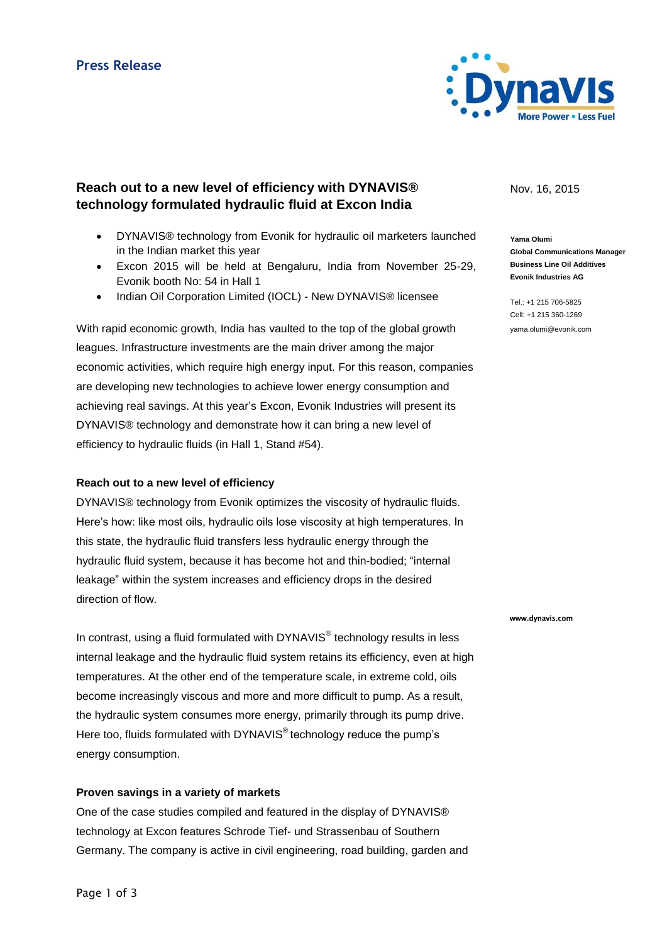

# **Reach out to a new level of efficiency with DYNAVIS® technology formulated hydraulic fluid at Excon India**

- DYNAVIS® technology from Evonik for hydraulic oil marketers launched in the Indian market this year
- Excon 2015 will be held at Bengaluru, India from November 25-29, Evonik booth No: 54 in Hall 1
- Indian Oil Corporation Limited (IOCL) New DYNAVIS® licensee

With rapid economic growth, India has vaulted to the top of the global growth leagues. Infrastructure investments are the main driver among the major economic activities, which require high energy input. For this reason, companies are developing new technologies to achieve lower energy consumption and achieving real savings. At this year's Excon, Evonik Industries will present its DYNAVIS® technology and demonstrate how it can bring a new level of efficiency to hydraulic fluids (in Hall 1, Stand #54).

#### **Reach out to a new level of efficiency**

DYNAVIS® technology from Evonik optimizes the viscosity of hydraulic fluids. Here's how: like most oils, hydraulic oils lose viscosity at high temperatures. In this state, the hydraulic fluid transfers less hydraulic energy through the hydraulic fluid system, because it has become hot and thin-bodied; "internal leakage" within the system increases and efficiency drops in the desired direction of flow.

In contrast, using a fluid formulated with DYNAVIS $^{\circ}$  technology results in less internal leakage and the hydraulic fluid system retains its efficiency, even at high temperatures. At the other end of the temperature scale, in extreme cold, oils become increasingly viscous and more and more difficult to pump. As a result, the hydraulic system consumes more energy, primarily through its pump drive. Here too, fluids formulated with DYNAVIS® technology reduce the pump's energy consumption.

### **Proven savings in a variety of markets**

One of the case studies compiled and featured in the display of DYNAVIS® technology at Excon features Schrode Tief- und Strassenbau of Southern Germany. The company is active in civil engineering, road building, garden and Nov. 16, 2015

**Yama Olumi Global Communications Manager Business Line Oil Additives Evonik Industries AG**

Tel.: +1 215 706-5825 Cell: +1 215 360-1269 yama.olumi@evonik.com

www.dynavis.com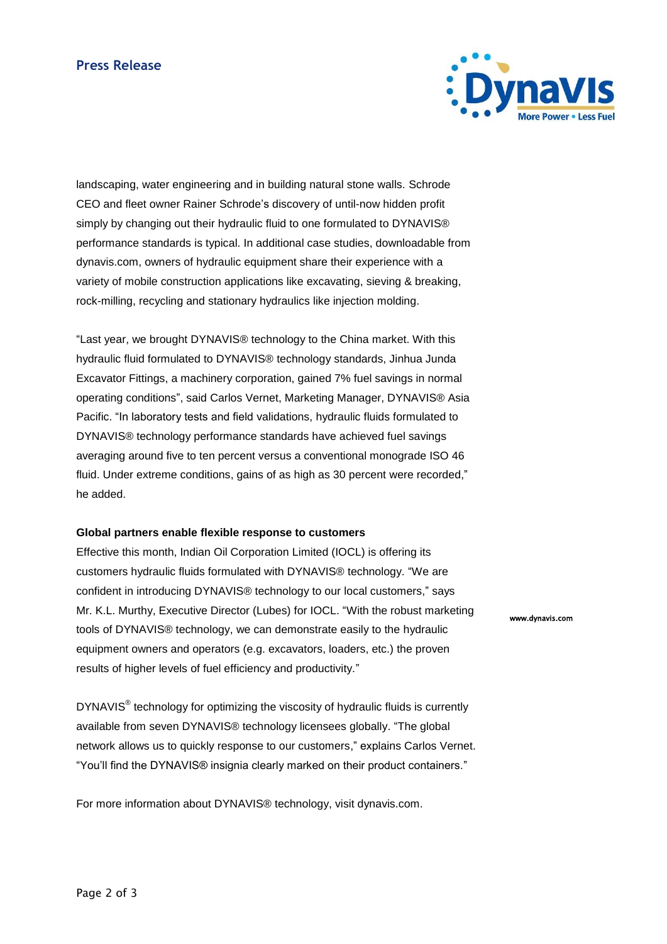## **Press Release**



landscaping, water engineering and in building natural stone walls. Schrode CEO and fleet owner Rainer Schrode's discovery of until-now hidden profit simply by changing out their hydraulic fluid to one formulated to DYNAVIS® performance standards is typical. In additional case studies, downloadable from dynavis.com, owners of hydraulic equipment share their experience with a variety of mobile construction applications like excavating, sieving & breaking, rock-milling, recycling and stationary hydraulics like injection molding.

"Last year, we brought DYNAVIS® technology to the China market. With this hydraulic fluid formulated to DYNAVIS® technology standards, Jinhua Junda Excavator Fittings, a machinery corporation, gained 7% fuel savings in normal operating conditions", said Carlos Vernet, Marketing Manager, DYNAVIS® Asia Pacific. "In laboratory tests and field validations, hydraulic fluids formulated to DYNAVIS® technology performance standards have achieved fuel savings averaging around five to ten percent versus a conventional monograde ISO 46 fluid. Under extreme conditions, gains of as high as 30 percent were recorded," he added.

#### **Global partners enable flexible response to customers**

Effective this month, Indian Oil Corporation Limited (IOCL) is offering its customers hydraulic fluids formulated with DYNAVIS® technology. "We are confident in introducing DYNAVIS® technology to our local customers," says Mr. K.L. Murthy, Executive Director (Lubes) for IOCL. "With the robust marketing tools of DYNAVIS® technology, we can demonstrate easily to the hydraulic equipment owners and operators (e.g. excavators, loaders, etc.) the proven results of higher levels of fuel efficiency and productivity."

DYNAVIS<sup>®</sup> technology for optimizing the viscosity of hydraulic fluids is currently available from seven DYNAVIS® technology licensees globally. "The global network allows us to quickly response to our customers," explains Carlos Vernet. "You'll find the DYNAVIS® insignia clearly marked on their product containers."

For more information about DYNAVIS® technology, visit dynavis.com.

www.dynavis.com